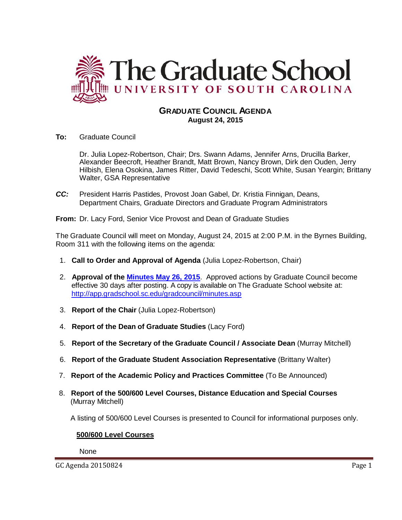

## **GRADUATE COUNCIL AGENDA August 24, 2015**

**To:** Graduate Council

Dr. Julia Lopez-Robertson, Chair; Drs. Swann Adams, Jennifer Arns, Drucilla Barker, Alexander Beecroft, Heather Brandt, Matt Brown, Nancy Brown, Dirk den Ouden, Jerry Hilbish, Elena Osokina, James Ritter, David Tedeschi, Scott White, Susan Yeargin; Brittany Walter, GSA Representative

*CC:* President Harris Pastides, Provost Joan Gabel, Dr. Kristia Finnigan, Deans, Department Chairs, Graduate Directors and Graduate Program Administrators

**From:** Dr. Lacy Ford, Senior Vice Provost and Dean of Graduate Studies

The Graduate Council will meet on Monday, August 24, 2015 at 2:00 P.M. in the Byrnes Building, Room 311 with the following items on the agenda:

- 1. **Call to Order and Approval of Agenda** (Julia Lopez-Robertson, Chair)
- 2. **Approval of the [Minutes May 26, 2015](http://gradschool.sc.edu/facstaff/gradcouncil/2014/GC%20Minutes%205%2026%2015a.pdf)**. Approved actions by Graduate Council become effective 30 days after posting. A copy is available on The Graduate School website at: <http://app.gradschool.sc.edu/gradcouncil/minutes.asp>
- 3. **Report of the Chair** (Julia Lopez-Robertson)
- 4. **Report of the Dean of Graduate Studies** (Lacy Ford)
- 5. **Report of the Secretary of the Graduate Council / Associate Dean** (Murray Mitchell)
- 6. **Report of the Graduate Student Association Representative** (Brittany Walter)
- 7. **Report of the Academic Policy and Practices Committee** (To Be Announced)
- 8. **Report of the 500/600 Level Courses, Distance Education and Special Courses** (Murray Mitchell)

A listing of 500/600 Level Courses is presented to Council for informational purposes only.

## **500/600 Level Courses**

None

GC Agenda 20150824 Page 1